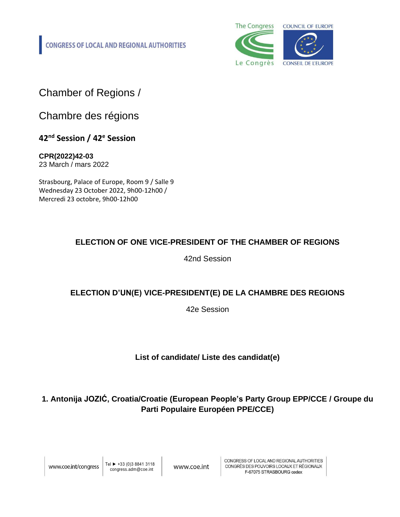**CONGRESS OF LOCAL AND REGIONAL AUTHORITIES** 



Chamber of Regions /

Chambre des régions

**42nd Session / 42<sup>e</sup> Session**

**CPR(2022)42-03** 23 March / mars 2022

Strasbourg, Palace of Europe, Room 9 / Salle 9 Wednesday 23 October 2022, 9h00-12h00 / Mercredi 23 octobre, 9h00-12h00

#### **ELECTION OF ONE VICE-PRESIDENT OF THE CHAMBER OF REGIONS**

42nd Session

#### **ELECTION D'UN(E) VICE-PRESIDENT(E) DE LA CHAMBRE DES REGIONS**

42e Session

**List of candidate/ Liste des candidat(e)**

#### **1. Antonija JOZIĆ, Croatia/Croatie (European People's Party Group EPP/CCE / Groupe du Parti Populaire Européen PPE/CCE)**

Tel ► +33 (0)3 8841 3118 congress.adm@coe.int

www.coe.int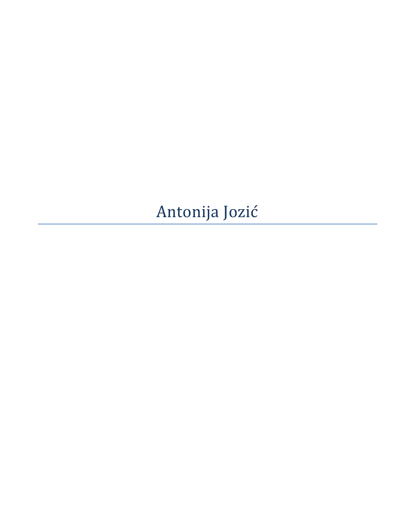## Antonija Jozić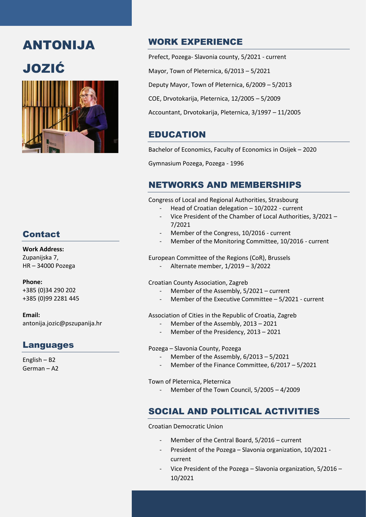## ANTONIJA

# JOZIĆ



#### WORK EXPERIENCE

Prefect, Pozega- Slavonia county, 5/2021 - current

Mayor, Town of Pleternica, 6/2013 – 5/2021

Deputy Mayor, Town of Pleternica, 6/2009 – 5/2013

COE, Drvotokarija, Pleternica, 12/2005 – 5/2009

Accountant, Drvotokarija, Pleternica, 3/1997 – 11/2005

#### EDUCATION

Bachelor of Economics, Faculty of Economics in Osijek – 2020

Gymnasium Pozega, Pozega - 1996

### NETWORKS AND MEMBERSHIPS

Congress of Local and Regional Authorities, Strasbourg

- Head of Croatian delegation 10/2022 current
- Vice President of the Chamber of Local Authorities, 3/2021 7/2021
- Member of the Congress, 10/2016 current
- Member of the Monitoring Committee, 10/2016 current

European Committee of the Regions (CoR), Brussels

- Alternate member, 1/2019 – 3/2022

Croatian County Association, Zagreb

- Member of the Assembly, 5/2021 current
- Member of the Executive Committee  $5/2021$  current

#### Association of Cities in the Republic of Croatia, Zagreb

- Member of the Assembly, 2013 2021
- Member of the Presidency, 2013 2021

#### Pozega – Slavonia County, Pozega

- Member of the Assembly,  $6/2013 5/2021$
- Member of the Finance Committee,  $6/2017 5/2021$

Town of Pleternica, Pleternica

Member of the Town Council, 5/2005 - 4/2009

### SOCIAL AND POLITICAL ACTIVITIES

Croatian Democratic Union

- Member of the Central Board, 5/2016 current
- President of the Pozega Slavonia organization, 10/2021 current

- President of the town organization, 5/2012 – 10/2021

- Vice President of the Pozega – Slavonia organization, 5/2016 – 10/2021

### Contact

#### **Work Address:**

Zupanijska 7, HR – 34000 Pozega

**Phone:**

+385 (0)34 290 202 +385 (0)99 2281 445

**Email:** antonija.jozic@pszupanija.hr

### Languages

English – B2 German – A2